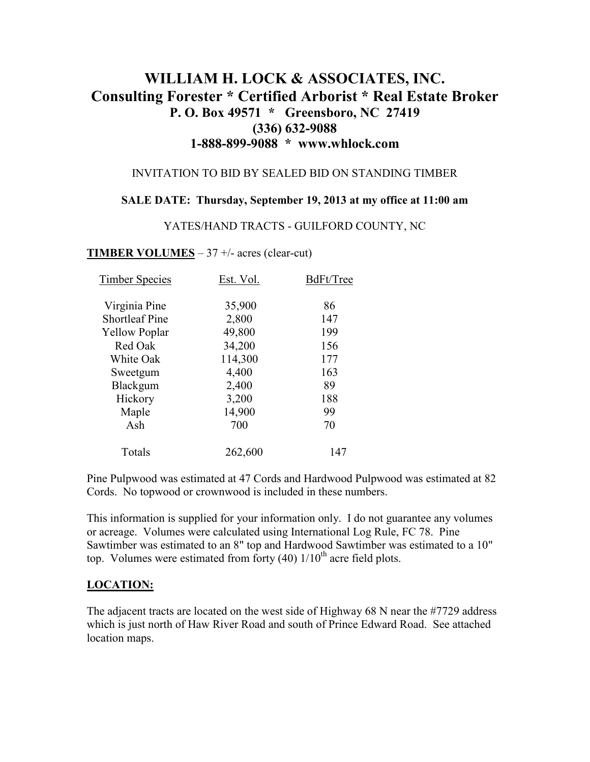# **WILLIAM H. LOCK & ASSOCIATES, INC. Consulting Forester \* Certified Arborist \* Real Estate Broker P. O. Box 49571 \* Greensboro, NC 27419 (336) 632-9088 1-888-899-9088 \* www.whlock.com**

### INVITATION TO BID BY SEALED BID ON STANDING TIMBER

### **SALE DATE: Thursday, September 19, 2013 at my office at 11:00 am**

#### YATES/HAND TRACTS - GUILFORD COUNTY, NC

### **TIMBER VOLUMES** – 37 +/- acres (clear-cut)

| <b>Timber Species</b> | Est. Vol. | BdFt/Tree |
|-----------------------|-----------|-----------|
| Virginia Pine         | 35,900    | 86        |
| <b>Shortleaf Pine</b> | 2,800     | 147       |
| <b>Yellow Poplar</b>  | 49,800    | 199       |
| Red Oak               | 34,200    | 156       |
| White Oak             | 114,300   | 177       |
| Sweetgum              | 4,400     | 163       |
| Blackgum              | 2,400     | 89        |
| Hickory               | 3,200     | 188       |
| Maple                 | 14,900    | 99        |
| Ash                   | 700       | 70        |
| Totals                | 262,600   | 147       |

Pine Pulpwood was estimated at 47 Cords and Hardwood Pulpwood was estimated at 82 Cords. No topwood or crownwood is included in these numbers.

This information is supplied for your information only. I do not guarantee any volumes or acreage. Volumes were calculated using International Log Rule, FC 78. Pine Sawtimber was estimated to an 8" top and Hardwood Sawtimber was estimated to a 10" top. Volumes were estimated from forty  $(40)$  1/10<sup>th</sup> acre field plots.

### **LOCATION:**

The adjacent tracts are located on the west side of Highway 68 N near the #7729 address which is just north of Haw River Road and south of Prince Edward Road. See attached location maps.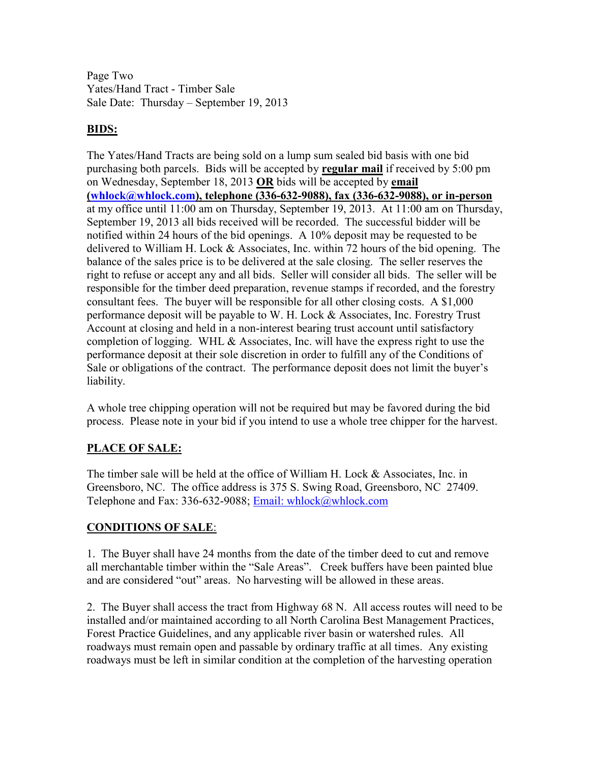Page Two Yates/Hand Tract - Timber Sale Sale Date: Thursday – September 19, 2013

## **BIDS:**

The Yates/Hand Tracts are being sold on a lump sum sealed bid basis with one bid purchasing both parcels. Bids will be accepted by **regular mail** if received by 5:00 pm on Wednesday, September 18, 2013 **OR** bids will be accepted by **email (whlock@whlock.com), telephone (336-632-9088), fax (336-632-9088), or in-person** at my office until 11:00 am on Thursday, September 19, 2013. At 11:00 am on Thursday, September 19, 2013 all bids received will be recorded. The successful bidder will be notified within 24 hours of the bid openings. A 10% deposit may be requested to be delivered to William H. Lock & Associates, Inc. within 72 hours of the bid opening. The balance of the sales price is to be delivered at the sale closing. The seller reserves the right to refuse or accept any and all bids. Seller will consider all bids. The seller will be responsible for the timber deed preparation, revenue stamps if recorded, and the forestry consultant fees. The buyer will be responsible for all other closing costs. A \$1,000 performance deposit will be payable to W. H. Lock & Associates, Inc. Forestry Trust Account at closing and held in a non-interest bearing trust account until satisfactory completion of logging. WHL & Associates, Inc. will have the express right to use the performance deposit at their sole discretion in order to fulfill any of the Conditions of Sale or obligations of the contract. The performance deposit does not limit the buyer's liability.

A whole tree chipping operation will not be required but may be favored during the bid process. Please note in your bid if you intend to use a whole tree chipper for the harvest.

## **PLACE OF SALE:**

The timber sale will be held at the office of William H. Lock & Associates, Inc. in Greensboro, NC. The office address is 375 S. Swing Road, Greensboro, NC 27409. Telephone and Fax: 336-632-9088; Email: whlock@whlock.com

## **CONDITIONS OF SALE**:

1. The Buyer shall have 24 months from the date of the timber deed to cut and remove all merchantable timber within the "Sale Areas". Creek buffers have been painted blue and are considered "out" areas. No harvesting will be allowed in these areas.

2. The Buyer shall access the tract from Highway 68 N. All access routes will need to be installed and/or maintained according to all North Carolina Best Management Practices, Forest Practice Guidelines, and any applicable river basin or watershed rules. All roadways must remain open and passable by ordinary traffic at all times. Any existing roadways must be left in similar condition at the completion of the harvesting operation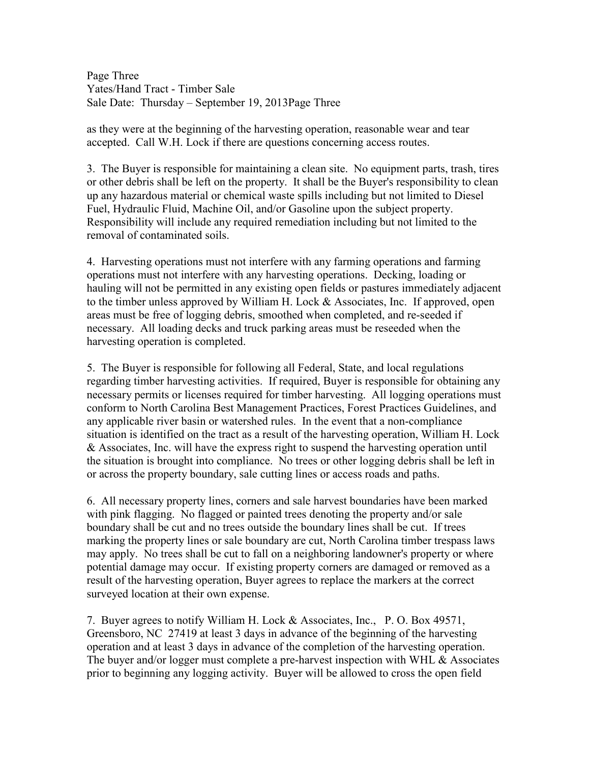Page Three Yates/Hand Tract - Timber Sale Sale Date: Thursday – September 19, 2013Page Three

as they were at the beginning of the harvesting operation, reasonable wear and tear accepted. Call W.H. Lock if there are questions concerning access routes.

3. The Buyer is responsible for maintaining a clean site. No equipment parts, trash, tires or other debris shall be left on the property. It shall be the Buyer's responsibility to clean up any hazardous material or chemical waste spills including but not limited to Diesel Fuel, Hydraulic Fluid, Machine Oil, and/or Gasoline upon the subject property. Responsibility will include any required remediation including but not limited to the removal of contaminated soils.

4. Harvesting operations must not interfere with any farming operations and farming operations must not interfere with any harvesting operations. Decking, loading or hauling will not be permitted in any existing open fields or pastures immediately adjacent to the timber unless approved by William H. Lock & Associates, Inc. If approved, open areas must be free of logging debris, smoothed when completed, and re-seeded if necessary. All loading decks and truck parking areas must be reseeded when the harvesting operation is completed.

5. The Buyer is responsible for following all Federal, State, and local regulations regarding timber harvesting activities. If required, Buyer is responsible for obtaining any necessary permits or licenses required for timber harvesting. All logging operations must conform to North Carolina Best Management Practices, Forest Practices Guidelines, and any applicable river basin or watershed rules. In the event that a non-compliance situation is identified on the tract as a result of the harvesting operation, William H. Lock & Associates, Inc. will have the express right to suspend the harvesting operation until the situation is brought into compliance. No trees or other logging debris shall be left in or across the property boundary, sale cutting lines or access roads and paths.

6. All necessary property lines, corners and sale harvest boundaries have been marked with pink flagging. No flagged or painted trees denoting the property and/or sale boundary shall be cut and no trees outside the boundary lines shall be cut. If trees marking the property lines or sale boundary are cut, North Carolina timber trespass laws may apply. No trees shall be cut to fall on a neighboring landowner's property or where potential damage may occur. If existing property corners are damaged or removed as a result of the harvesting operation, Buyer agrees to replace the markers at the correct surveyed location at their own expense.

7. Buyer agrees to notify William H. Lock & Associates, Inc., P. O. Box 49571, Greensboro, NC 27419 at least 3 days in advance of the beginning of the harvesting operation and at least 3 days in advance of the completion of the harvesting operation. The buyer and/or logger must complete a pre-harvest inspection with WHL  $\&$  Associates prior to beginning any logging activity. Buyer will be allowed to cross the open field